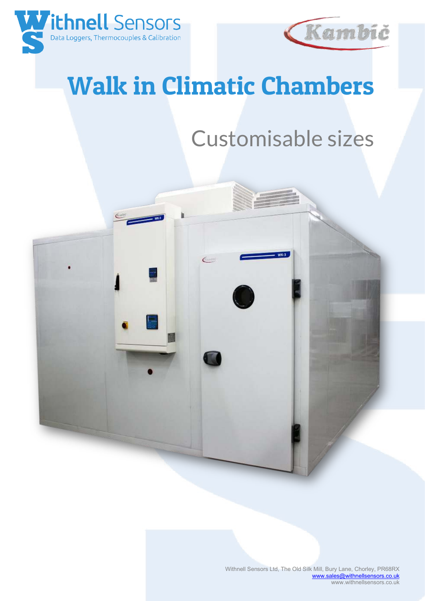



## Walk in Climatic Chambers

## Customisable sizes

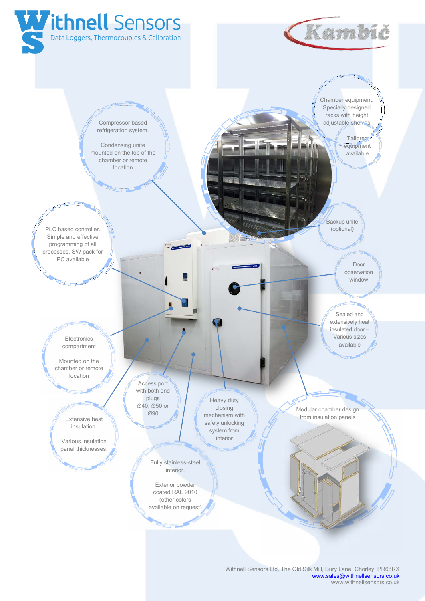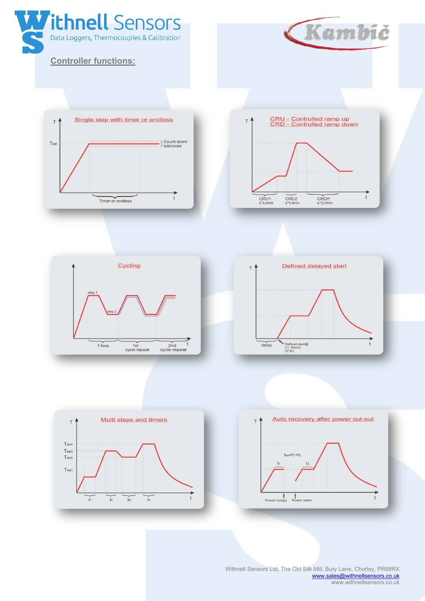

 Withnell Sensors Ltd, The Old Silk Mill, Bury Lane, Chorley, PR68RX [www.sales@withnellsensors.co.uk](http://www.sales@withnellsensors.co.uk) www.withnellsensors.co.uk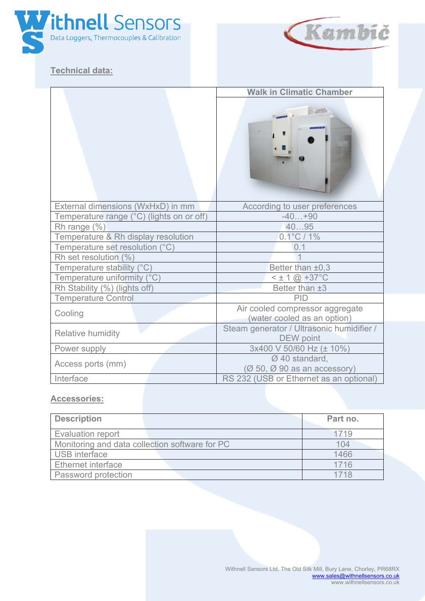

## **Technical data:**



| <b>Walk in Climatic Chamber</b> |  |  |
|---------------------------------|--|--|
|                                 |  |  |
|                                 |  |  |
|                                 |  |  |
|                                 |  |  |
|                                 |  |  |

| External dimensions (WxHxD) in mm                           | According to user preferences             |  |
|-------------------------------------------------------------|-------------------------------------------|--|
| Temperature range (°C) (lights on or off)<br>$-40+90$       |                                           |  |
| 4095<br>Rh range $(\%)$                                     |                                           |  |
| Temperature & Rh display resolution<br>$0.1^{\circ}$ C / 1% |                                           |  |
| Temperature set resolution (°C)<br>0 1                      |                                           |  |
| Rh set resolution (%)                                       |                                           |  |
| Temperature stability (°C)<br>Better than ±0,3              |                                           |  |
| Temperature uniformity (°C)<br>$<$ ± 1 @ +37°C              |                                           |  |
| Rh Stability (%) (lights off)<br>Better than ±3             |                                           |  |
| <b>Temperature Control</b><br>PID                           |                                           |  |
| Cooling                                                     | Air cooled compressor aggregate           |  |
|                                                             | (water cooled as an option)               |  |
| <b>Relative humidity</b>                                    | Steam generator / Ultrasonic humidifier / |  |
| <b>DEW</b> point                                            |                                           |  |
| 3x400 V 50/60 Hz (± 10%)<br>Power supply                    |                                           |  |
| $\varnothing$ 40 standard,                                  |                                           |  |
| Access ports (mm)                                           | $(0, 50, 0, 90)$ as an accessory)         |  |
| Interface                                                   | RS 232 (USB or Ethernet as an optional)   |  |

## **Accessories:**

| <b>Description</b>                             |  | Part no. |
|------------------------------------------------|--|----------|
| Evaluation report                              |  | 1719     |
| Monitoring and data collection software for PC |  | 104      |
| <b>USB</b> interface                           |  | 1466     |
| Ethernet interface                             |  | 1716     |
| Password protection                            |  | 1718     |